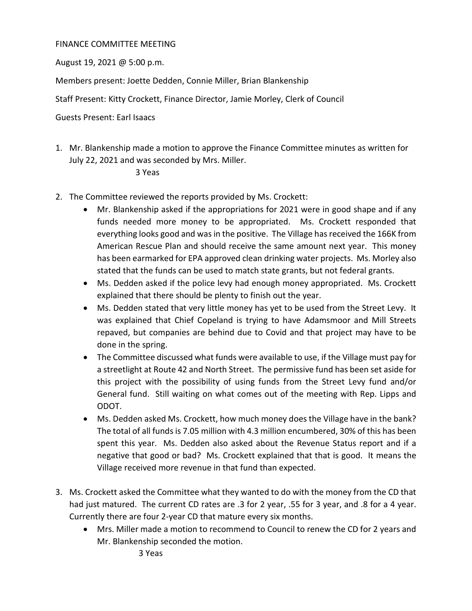## FINANCE COMMITTEE MEETING

August 19, 2021 @ 5:00 p.m.

Members present: Joette Dedden, Connie Miller, Brian Blankenship

Staff Present: Kitty Crockett, Finance Director, Jamie Morley, Clerk of Council

Guests Present: Earl Isaacs

1. Mr. Blankenship made a motion to approve the Finance Committee minutes as written for July 22, 2021 and was seconded by Mrs. Miller.

## 3 Yeas

- 2. The Committee reviewed the reports provided by Ms. Crockett:
	- Mr. Blankenship asked if the appropriations for 2021 were in good shape and if any funds needed more money to be appropriated. Ms. Crockett responded that everything looks good and was in the positive. The Village has received the 166K from American Rescue Plan and should receive the same amount next year. This money has been earmarked for EPA approved clean drinking water projects. Ms. Morley also stated that the funds can be used to match state grants, but not federal grants.
	- Ms. Dedden asked if the police levy had enough money appropriated. Ms. Crockett explained that there should be plenty to finish out the year.
	- Ms. Dedden stated that very little money has yet to be used from the Street Levy. It was explained that Chief Copeland is trying to have Adamsmoor and Mill Streets repaved, but companies are behind due to Covid and that project may have to be done in the spring.
	- The Committee discussed what funds were available to use, if the Village must pay for a streetlight at Route 42 and North Street. The permissive fund has been set aside for this project with the possibility of using funds from the Street Levy fund and/or General fund. Still waiting on what comes out of the meeting with Rep. Lipps and ODOT.
	- Ms. Dedden asked Ms. Crockett, how much money does the Village have in the bank? The total of all funds is 7.05 million with 4.3 million encumbered, 30% of this has been spent this year. Ms. Dedden also asked about the Revenue Status report and if a negative that good or bad? Ms. Crockett explained that that is good. It means the Village received more revenue in that fund than expected.
- 3. Ms. Crockett asked the Committee what they wanted to do with the money from the CD that had just matured. The current CD rates are .3 for 2 year, .55 for 3 year, and .8 for a 4 year. Currently there are four 2-year CD that mature every six months.
	- Mrs. Miller made a motion to recommend to Council to renew the CD for 2 years and Mr. Blankenship seconded the motion.